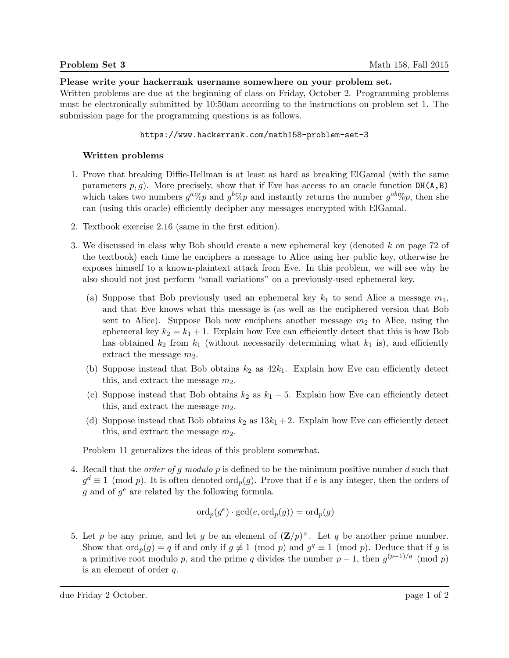## Please write your hackerrank username somewhere on your problem set.

Written problems are due at the beginning of class on Friday, October 2. Programming problems must be electronically submitted by 10:50am according to the instructions on problem set 1. The submission page for the programming questions is as follows.

## https://www.hackerrank.com/math158-problem-set-3

## Written problems

- 1. Prove that breaking Diffie-Hellman is at least as hard as breaking ElGamal (with the same parameters  $p, g$ ). More precisely, show that if Eve has access to an oracle function DH(A,B) which takes two numbers  $g^a\%p$  and  $g^b\%p$  and instantly returns the number  $g^{ab}\%p$ , then she can (using this oracle) efficiently decipher any messages encrypted with ElGamal.
- 2. Textbook exercise 2.16 (same in the first edition).
- 3. We discussed in class why Bob should create a new ephemeral key (denoted k on page 72 of the textbook) each time he enciphers a message to Alice using her public key, otherwise he exposes himself to a known-plaintext attack from Eve. In this problem, we will see why he also should not just perform "small variations" on a previously-used ephemeral key.
	- (a) Suppose that Bob previously used an ephemeral key  $k_1$  to send Alice a message  $m_1$ , and that Eve knows what this message is (as well as the enciphered version that Bob sent to Alice). Suppose Bob now enciphers another message  $m_2$  to Alice, using the ephemeral key  $k_2 = k_1 + 1$ . Explain how Eve can efficiently detect that this is how Bob has obtained  $k_2$  from  $k_1$  (without necessarily determining what  $k_1$  is), and efficiently extract the message  $m_2$ .
	- (b) Suppose instead that Bob obtains  $k_2$  as  $42k_1$ . Explain how Eve can efficiently detect this, and extract the message  $m_2$ .
	- (c) Suppose instead that Bob obtains  $k_2$  as  $k_1 5$ . Explain how Eve can efficiently detect this, and extract the message  $m_2$ .
	- (d) Suppose instead that Bob obtains  $k_2$  as  $13k_1 + 2$ . Explain how Eve can efficiently detect this, and extract the message  $m_2$ .

Problem 11 generalizes the ideas of this problem somewhat.

4. Recall that the *order of g modulo p* is defined to be the minimum positive number d such that  $g^d \equiv 1 \pmod{p}$ . It is often denoted  $\text{ord}_p(g)$ . Prove that if e is any integer, then the orders of  $g$  and of  $g^e$  are related by the following formula.

$$
\mathrm{ord}_p(g^e)\cdot \gcd(e,\mathrm{ord}_p(g))=\mathrm{ord}_p(g)
$$

5. Let p be any prime, and let g be an element of  $(\mathbf{Z}/p)^{\times}$ . Let q be another prime number. Show that  $\text{ord}_p(g) = q$  if and only if  $g \not\equiv 1 \pmod{p}$  and  $g^q \equiv 1 \pmod{p}$ . Deduce that if g is a primitive root modulo p, and the prime q divides the number  $p-1$ , then  $g^{(p-1)/q} \pmod{p}$ is an element of order q.